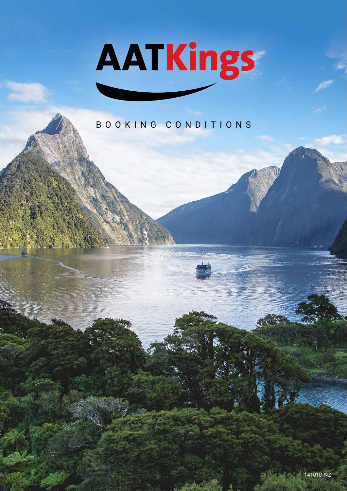# AATKings

## BOOKING CONDITIONS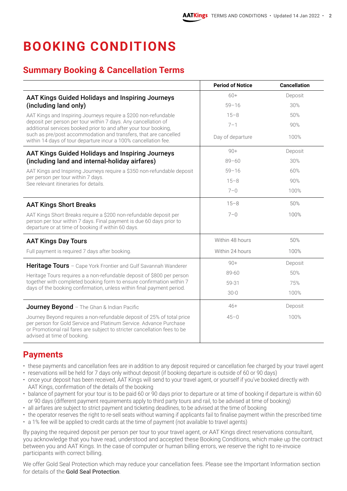# **BOOKING CONDITIONS**

#### **Summary Booking & Cancellation Terms**

|                                                                                                                                                                                                                                                          | <b>Period of Notice</b> | <b>Cancellation</b> |
|----------------------------------------------------------------------------------------------------------------------------------------------------------------------------------------------------------------------------------------------------------|-------------------------|---------------------|
| <b>AAT Kings Guided Holidays and Inspiring Journeys</b>                                                                                                                                                                                                  | 60+                     | Deposit             |
| (including land only)                                                                                                                                                                                                                                    | $59 - 16$               | 30%                 |
| AAT Kings and Inspiring Journeys require a \$200 non-refundable                                                                                                                                                                                          | $15 - 8$                | 50%                 |
| deposit per person per tour within 7 days. Any cancellation of<br>additional services booked prior to and after your tour booking,                                                                                                                       | $7 - 1$                 | 90%                 |
| such as pre/post accommodation and transfers, that are cancelled<br>within 14 days of tour departure incur a 100% cancellation fee.                                                                                                                      | Day of departure        | 100%                |
| <b>AAT Kings Guided Holidays and Inspiring Journeys</b>                                                                                                                                                                                                  | $90 +$                  | Deposit             |
| (including land and internal-holiday airfares)                                                                                                                                                                                                           | $89 - 60$               | 30%                 |
| AAT Kings and Inspiring Journeys require a \$350 non-refundable deposit                                                                                                                                                                                  | $59 - 16$               | 60%                 |
| per person per tour within 7 days.<br>See relevant itineraries for details.                                                                                                                                                                              | $15 - 8$                | 90%                 |
|                                                                                                                                                                                                                                                          | $7 - 0$                 | 100%                |
| <b>AAT Kings Short Breaks</b>                                                                                                                                                                                                                            | $15 - 8$                | 50%                 |
| AAT Kings Short Breaks require a \$200 non-refundable deposit per<br>person per tour within 7 days. Final payment is due 60 days prior to<br>departure or at time of booking if within 60 days.                                                          | $7 - 0$                 | 100%                |
| <b>AAT Kings Day Tours</b>                                                                                                                                                                                                                               | Within 48 hours         | 50%                 |
| Full payment is required 7 days after booking.                                                                                                                                                                                                           | Within 24 hours         | 100%                |
| Heritage Tours - Cape York Frontier and Gulf Savannah Wanderer                                                                                                                                                                                           | $90+$                   | Deposit             |
| Heritage Tours requires a a non-refundable deposit of \$800 per person                                                                                                                                                                                   | $89 - 60$               | 50%                 |
| together with completed booking form to ensure confirmation within 7<br>days of the booking confirmation, unless within final payment period.                                                                                                            | 59-31                   | 75%                 |
|                                                                                                                                                                                                                                                          | $30 - 0$                | 100%                |
| <b>Journey Beyond</b> - The Ghan & Indian Pacific                                                                                                                                                                                                        | $46+$                   | Deposit             |
| Journey Beyond requires a non-refundable deposit of 25% of total price<br>per person for Gold Service and Platinum Service. Advance Purchase<br>or Promotional rail fares are subject to stricter cancellation fees to be<br>advised at time of booking. | $45 - 0$                | 100%                |

#### **Payments**

- these payments and cancellation fees are in addition to any deposit required or cancellation fee charged by your travel agent
- reservations will be held for 7 days only without deposit (if booking departure is outside of 60 or 90 days)
- once your deposit has been received, AAT Kings will send to your travel agent, or yourself if you've booked directly with AAT Kings, confirmation of the details of the booking
- balance of payment for your tour is to be paid 60 or 90 days prior to departure or at time of booking if departure is within 60 or 90 days (different payment requirements apply to third party tours and rail, to be advised at time of booking)
- all airfares are subject to strict payment and ticketing deadlines, to be advised at the time of booking
- the operator reserves the right to re-sell seats without warning if applicants fail to finalise payment within the prescribed time
- a 1% fee will be applied to credit cards at the time of payment (not available to travel agents)

By paying the required deposit per person per tour to your travel agent, or AAT Kings direct reservations consultant, you acknowledge that you have read, understood and accepted these Booking Conditions, which make up the contract between you and AAT Kings. In the case of computer or human billing errors, we reserve the right to re-invoice participants with correct billing.

We offer Gold Seal Protection which may reduce your cancellation fees. Please see the Important Information section for details of the Gold Seal Protection.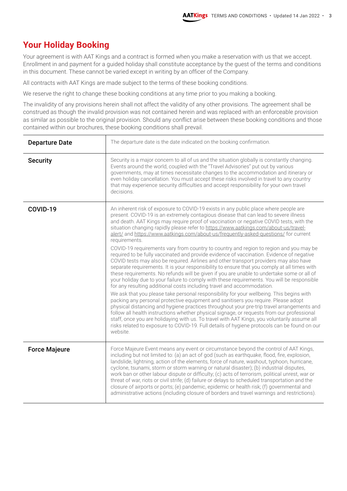#### **Your Holiday Booking**

Your agreement is with AAT Kings and a contract is formed when you make a reservation with us that we accept. Enrollment in and payment for a guided holiday shall constitute acceptance by the guest of the terms and conditions in this document. These cannot be varied except in writing by an officer of the Company.

All contracts with AAT Kings are made subject to the terms of these booking conditions.

We reserve the right to change these booking conditions at any time prior to you making a booking.

The invalidity of any provisions herein shall not affect the validity of any other provisions. The agreement shall be construed as though the invalid provision was not contained herein and was replaced with an enforceable provision as similar as possible to the original provision. Should any conflict arise between these booking conditions and those contained within our brochures, these booking conditions shall prevail.

| <b>Departure Date</b> | The departure date is the date indicated on the booking confirmation.                                                                                                                                                                                                                                                                                                                                                                                                                                                                                                                                                                                                                                                                                                                                                                                                                                                                                                                                                                                                                                                                                                                                                                                                                                                                                                                                                                                                                                                                                                                                                                                                                                                      |
|-----------------------|----------------------------------------------------------------------------------------------------------------------------------------------------------------------------------------------------------------------------------------------------------------------------------------------------------------------------------------------------------------------------------------------------------------------------------------------------------------------------------------------------------------------------------------------------------------------------------------------------------------------------------------------------------------------------------------------------------------------------------------------------------------------------------------------------------------------------------------------------------------------------------------------------------------------------------------------------------------------------------------------------------------------------------------------------------------------------------------------------------------------------------------------------------------------------------------------------------------------------------------------------------------------------------------------------------------------------------------------------------------------------------------------------------------------------------------------------------------------------------------------------------------------------------------------------------------------------------------------------------------------------------------------------------------------------------------------------------------------------|
| <b>Security</b>       | Security is a major concern to all of us and the situation globally is constantly changing.<br>Events around the world, coupled with the "Travel Advisories" put out by various<br>governments, may at times necessitate changes to the accommodation and itinerary or<br>even holiday cancellation. You must accept these risks involved in travel to any country<br>that may experience security difficulties and accept responsibility for your own travel<br>decisions.                                                                                                                                                                                                                                                                                                                                                                                                                                                                                                                                                                                                                                                                                                                                                                                                                                                                                                                                                                                                                                                                                                                                                                                                                                                |
| COVID-19              | An inherent risk of exposure to COVID-19 exists in any public place where people are<br>present. COVID-19 is an extremely contagious disease that can lead to severe illness<br>and death. AAT Kings may require proof of vaccination or negative COVID tests, with the<br>situation changing rapidly please refer to https://www.aatkings.com/about-us/travel-<br>alert/ and https://www.aatkings.com/about-us/frequently-asked-questions/ for current<br>requirements.<br>COVID-19 requirements vary from country to country and region to region and you may be<br>required to be fully vaccinated and provide evidence of vaccination. Evidence of negative<br>COVID tests may also be required. Airlines and other transport providers may also have<br>separate requirements. It is your responsibility to ensure that you comply at all times with<br>these requirements. No refunds will be given if you are unable to undertake some or all of<br>your holiday due to your failure to comply with these requirements. You will be responsible<br>for any resulting additional costs including travel and accommodation.<br>We ask that you please take personal responsibility for your wellbeing. This begins with<br>packing any personal protective equipment and sanitisers you require. Please adopt<br>physical distancing and hygiene practices throughout your pre-trip travel arrangements and<br>follow all health instructions whether physical signage, or requests from our professional<br>staff, once you are holidaying with us. To travel with AAT Kings, you voluntarily assume all<br>risks related to exposure to COVID-19. Full details of hygiene protocols can be found on our<br>website. |
| <b>Force Majeure</b>  | Force Majeure Event means any event or circumstance beyond the control of AAT Kings,<br>including but not limited to: (a) an act of god (such as earthquake, flood, fire, explosion,<br>landslide, lightning, action of the elements, force of nature, washout, typhoon, hurricane,<br>cyclone, tsunami, storm or storm warning or natural disaster); (b) industrial disputes,<br>work ban or other labour dispute or difficulty; (c) acts of terrorism, political unrest, war or<br>threat of war, riots or civil strife; (d) failure or delays to scheduled transportation and the<br>closure of airports or ports; (e) pandemic, epidemic or health risk; (f) governmental and<br>administrative actions (including closure of borders and travel warnings and restrictions).                                                                                                                                                                                                                                                                                                                                                                                                                                                                                                                                                                                                                                                                                                                                                                                                                                                                                                                                           |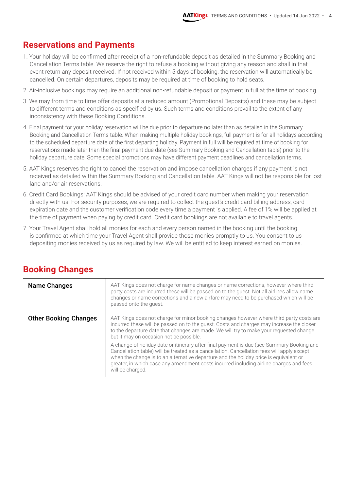#### **Reservations and Payments**

- 1. Your holiday will be confirmed after receipt of a non-refundable deposit as detailed in the Summary Booking and Cancellation Terms table. We reserve the right to refuse a booking without giving any reason and shall in that event return any deposit received. If not received within 5 days of booking, the reservation will automatically be cancelled. On certain departures, deposits may be required at time of booking to hold seats.
- 2. Air-inclusive bookings may require an additional non-refundable deposit or payment in full at the time of booking.
- 3. We may from time to time offer deposits at a reduced amount (Promotional Deposits) and these may be subject to different terms and conditions as specified by us. Such terms and conditions prevail to the extent of any inconsistency with these Booking Conditions.
- 4. Final payment for your holiday reservation will be due prior to departure no later than as detailed in the Summary Booking and Cancellation Terms table. When making multiple holiday bookings, full payment is for all holidays according to the scheduled departure date of the first departing holiday. Payment in full will be required at time of booking for reservations made later than the final payment due date (see Summary Booking and Cancellation table) prior to the holiday departure date. Some special promotions may have different payment deadlines and cancellation terms.
- 5. AAT Kings reserves the right to cancel the reservation and impose cancellation charges if any payment is not received as detailed within the Summary Booking and Cancellation table. AAT Kings will not be responsible for lost land and/or air reservations.
- 6. Credit Card Bookings: AAT Kings should be advised of your credit card number when making your reservation directly with us. For security purposes, we are required to collect the guest's credit card billing address, card expiration date and the customer verification code every time a payment is applied. A fee of 1% will be applied at the time of payment when paying by credit card. Credit card bookings are not available to travel agents.
- 7. Your Travel Agent shall hold all monies for each and every person named in the booking until the booking is confirmed at which time your Travel Agent shall provide those monies promptly to us. You consent to us depositing monies received by us as required by law. We will be entitled to keep interest earned on monies.

| <b>Name Changes</b>          | AAT Kings does not charge for name changes or name corrections, however where third<br>party costs are incurred these will be passed on to the guest. Not all airlines allow name<br>changes or name corrections and a new airfare may need to be purchased which will be<br>passed onto the quest.                                                                                            |
|------------------------------|------------------------------------------------------------------------------------------------------------------------------------------------------------------------------------------------------------------------------------------------------------------------------------------------------------------------------------------------------------------------------------------------|
| <b>Other Booking Changes</b> | AAT Kings does not charge for minor booking changes however where third party costs are<br>incurred these will be passed on to the guest. Costs and charges may increase the closer<br>to the departure date that changes are made. We will try to make your requested change<br>but it may on occasion not be possible.                                                                       |
|                              | A change of holiday date or itinerary after final payment is due (see Summary Booking and<br>Cancellation table) will be treated as a cancellation. Cancellation fees will apply except<br>when the change is to an alternative departure and the holiday price is equivalent or<br>greater, in which case any amendment costs incurred including airline charges and fees<br>will be charged. |

#### **Booking Changes**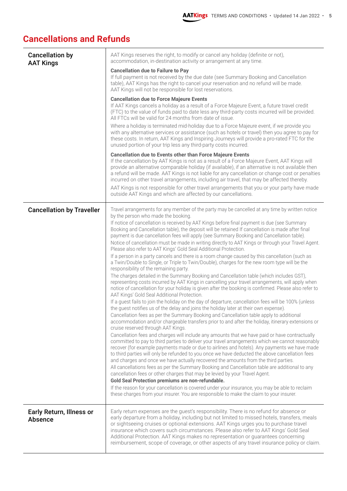#### **Cancellations and Refunds**

| <b>Cancellation by</b><br><b>AAT Kings</b>        | AAT Kings reserves the right, to modify or cancel any holiday (definite or not),<br>accommodation, in-destination activity or arrangement at any time.                                                                                                                                                                                                                                                                                                                                                                                                                                                                                   |
|---------------------------------------------------|------------------------------------------------------------------------------------------------------------------------------------------------------------------------------------------------------------------------------------------------------------------------------------------------------------------------------------------------------------------------------------------------------------------------------------------------------------------------------------------------------------------------------------------------------------------------------------------------------------------------------------------|
|                                                   | <b>Cancellation due to Failure to Pay</b><br>If full payment is not received by the due date (see Summary Booking and Cancellation<br>table), AAT Kings has the right to cancel your reservation and no refund will be made.<br>AAT Kings will not be responsible for lost reservations.                                                                                                                                                                                                                                                                                                                                                 |
|                                                   | <b>Cancellation due to Force Majeure Events</b><br>If AAT Kings cancels a holiday as a result of a Force Majeure Event, a future travel credit<br>(FTC) to the value of funds paid to date less any third-party costs incurred will be provided.<br>All FTCs will be valid for 24 months from date of issue.                                                                                                                                                                                                                                                                                                                             |
|                                                   | Where a holiday is terminated mid-holiday due to a Force Majeure event, if we provide you<br>with any alternative services or assistance (such as hotels or travel) then you agree to pay for<br>these costs. In return, AAT Kings and Inspiring Journeys will provide a pro-rated FTC for the<br>unused portion of your trip less any third-party costs incurred.                                                                                                                                                                                                                                                                       |
|                                                   | <b>Cancellation due to Events other than Force Majeure Events</b><br>If the cancellation by AAT Kings is not as a result of a Force Majeure Event, AAT Kings will<br>provide an alternative comparable holiday (if available), if an alternative is not available then<br>a refund will be made. AAT Kings is not liable for any cancellation or change cost or penalties<br>incurred on other travel arrangements, including air travel, that may be affected thereby.<br>AAT Kings is not responsible for other travel arrangements that you or your party have made<br>outside AAT Kings and which are affected by our cancellations. |
| <b>Cancellation by Traveller</b>                  | Travel arrangements for any member of the party may be cancelled at any time by written notice<br>by the person who made the booking.                                                                                                                                                                                                                                                                                                                                                                                                                                                                                                    |
|                                                   | If notice of cancellation is received by AAT Kings before final payment is due (see Summary<br>Booking and Cancellation table), the deposit will be retained If cancellation is made after final<br>payment is due cancellation fees will apply (see Summary Booking and Cancellation table).<br>Notice of cancellation must be made in writing directly to AAT Kings or through your Travel Agent.<br>Please also refer to AAT Kings' Gold Seal Additional Protection.                                                                                                                                                                  |
|                                                   | If a person in a party cancels and there is a room change caused by this cancellation (such as<br>a Twin/Double to Single, or Triple to Twin/Double), charges for the new room type will be the<br>responsibility of the remaining party.                                                                                                                                                                                                                                                                                                                                                                                                |
|                                                   | The charges detailed in the Summary Booking and Cancellation table (which includes GST),<br>representing costs incurred by AAT Kings in cancelling your travel arrangements, will apply when<br>notice of cancellation for your holiday is given after the booking is confirmed. Please also refer to<br>AAT Kings' Gold Seal Additional Protection.                                                                                                                                                                                                                                                                                     |
|                                                   | If a guest fails to join the holiday on the day of departure, cancellation fees will be 100% (unless<br>the guest notifies us of the delay and joins the holiday later at their own expense).                                                                                                                                                                                                                                                                                                                                                                                                                                            |
|                                                   | Cancellation fees as per the Summary Booking and Cancellation table apply to additional<br>accommodation and/or chargeable transfers prior to and after the holiday, itinerary extensions or<br>cruise reserved through AAT Kings.                                                                                                                                                                                                                                                                                                                                                                                                       |
|                                                   | Cancellation fees and charges will include any amounts that we have paid or have contractually<br>committed to pay to third parties to deliver your travel arrangements which we cannot reasonably<br>recover (for example payments made or due to airlines and hotels). Any payments we have made<br>to third parties will only be refunded to you once we have deducted the above cancellation fees<br>and charges and once we have actually recovered the amounts from the third parties.                                                                                                                                             |
|                                                   | All cancellations fees as per the Summary Booking and Cancellation table are additional to any<br>cancellation fees or other charges that may be levied by your Travel Agent.                                                                                                                                                                                                                                                                                                                                                                                                                                                            |
|                                                   | Gold Seal Protection premiums are non-refundable.<br>If the reason for your cancellation is covered under your insurance, you may be able to reclaim<br>these charges from your insurer. You are responsible to make the claim to your insurer.                                                                                                                                                                                                                                                                                                                                                                                          |
| <b>Early Return, Illness or</b><br><b>Absence</b> | Early return expenses are the guest's responsibility. There is no refund for absence or<br>early departure from a holiday, including but not limited to missed hotels, transfers, meals<br>or sightseeing cruises or optional extensions. AAT Kings urges you to purchase travel<br>insurance which covers such circumstances. Please also refer to AAT Kings' Gold Seal<br>Additional Protection. AAT Kings makes no representation or guarantees concerning<br>reimbursement, scope of coverage, or other aspects of any travel insurance policy or claim.                                                                             |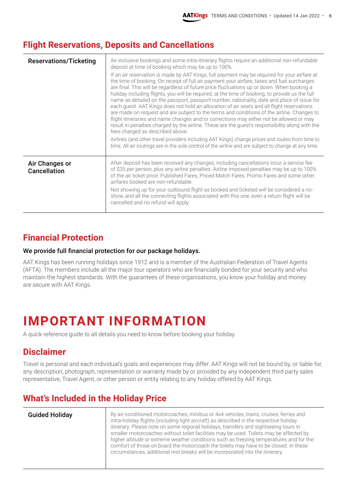#### **Flight Reservations, Deposits and Cancellations**

| <b>Reservations/Ticketing</b>         | Air-inclusive bookings and some intra-itinerary flights require an additional non-refundable<br>deposit at time of booking which may be up to 100%.<br>If an air reservation is made by AAT Kings, full payment may be required for your airfare at<br>the time of booking. On receipt of full air payment your airfare, taxes and fuel surcharges<br>are final. This will be regardless of future price fluctuations up or down. When booking a<br>holiday including flights, you will be required, at the time of booking, to provide us the full<br>name as detailed on the passport, passport number, nationality, date and place of issue for<br>each guest. AAT Kings does not hold an allocation of air seats and all flight reservations<br>are made on request and are subject to the terms and conditions of the airline. Changes to<br>flight itineraries and name changes and/or corrections may either not be allowed or may<br>result in penalties charged by the airline. These are the guest's responsibility along with the<br>fees charged as described above.<br>Airlines (and other travel providers including AAT Kings) change prices and routes from time to<br>time. All air routings are in the sole control of the airline and are subject to change at any time. |
|---------------------------------------|---------------------------------------------------------------------------------------------------------------------------------------------------------------------------------------------------------------------------------------------------------------------------------------------------------------------------------------------------------------------------------------------------------------------------------------------------------------------------------------------------------------------------------------------------------------------------------------------------------------------------------------------------------------------------------------------------------------------------------------------------------------------------------------------------------------------------------------------------------------------------------------------------------------------------------------------------------------------------------------------------------------------------------------------------------------------------------------------------------------------------------------------------------------------------------------------------------------------------------------------------------------------------------------------|
| Air Changes or<br><b>Cancellation</b> | After deposit has been received any changes, including cancellations incur a service fee<br>of \$35 per person, plus any airline penalties. Airline imposed penalties may be up to 100%<br>of the air ticket price. Published Fares, Priced Match Fares, Promo Fares and some other<br>airfares booked are non-refundable.<br>Not showing up for your outbound flight as booked and ticketed will be considered a no-<br>show, and all the connecting flights associated with this one, even a return flight will be<br>cancelled and no refund will apply.                                                                                                                                                                                                                                                                                                                                                                                                                                                                                                                                                                                                                                                                                                                                 |

#### **Financial Protection**

#### We provide full financial protection for our package holidays.

AAT Kings has been running holidays since 1912 and is a member of the Australian Federation of Travel Agents (AFTA). The members include all the major tour operators who are financially bonded for your security and who maintain the highest standards. With the guarantees of these organisations, you know your holiday and money are secure with AAT Kings.

## **IMPORTANT INFORMATION**

A quick reference guide to all details you need to know before booking your holiday.

#### **Disclaimer**

Travel is personal and each individual's goals and experiences may differ. AAT Kings will not be bound by, or liable for, any description, photograph, representation or warranty made by or provided by any independent third party sales representative, Travel Agent, or other person or entity relating to any holiday offered by AAT Kings.

#### **What's Included in the Holiday Price**

| <b>Guided Holiday</b> | By air-conditioned motorcoaches, minibus or 4x4 vehicles, trains, cruises, ferries and<br>intra-holiday flights (including light aircraft) as described in the respective holiday<br>itinerary. Please note on some regional holidays, transfers and sightseeing tours in<br>smaller motorcoaches without toilet facilities may be used. Toilets may be affected by<br>higher altitude or extreme weather conditions such as freezing temperatures and for the<br>comfort of those on board the motorcoach the toilets may have to be closed. In these<br>circumstances, additional rest breaks will be incorporated into the itinerary. |
|-----------------------|------------------------------------------------------------------------------------------------------------------------------------------------------------------------------------------------------------------------------------------------------------------------------------------------------------------------------------------------------------------------------------------------------------------------------------------------------------------------------------------------------------------------------------------------------------------------------------------------------------------------------------------|
|                       |                                                                                                                                                                                                                                                                                                                                                                                                                                                                                                                                                                                                                                          |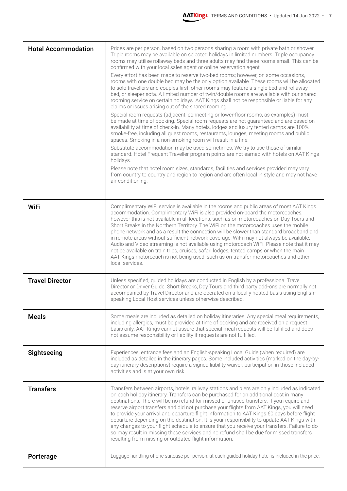| <b>Hotel Accommodation</b> | Prices are per person, based on two persons sharing a room with private bath or shower.<br>Triple rooms may be available on selected holidays in limited numbers. Triple occupancy<br>rooms may utilise rollaway beds and three adults may find these rooms small. This can be<br>confirmed with your local sales agent or online reservation agent.<br>Every effort has been made to reserve two-bed rooms; however, on some occasions,<br>rooms with one double bed may be the only option available. These rooms will be allocated<br>to solo travellers and couples first; other rooms may feature a single bed and rollaway<br>bed, or sleeper sofa. A limited number of twin/double rooms are available with our shared<br>rooming service on certain holidays. AAT Kings shall not be responsible or liable for any<br>claims or issues arising out of the shared rooming.<br>Special room requests (adjacent, connecting or lower-floor rooms, as examples) must<br>be made at time of booking. Special room requests are not guaranteed and are based on<br>availability at time of check-in. Many hotels, lodges and luxury tented camps are 100%<br>smoke-free, including all guest rooms, restaurants, lounges, meeting rooms and public<br>spaces. Smoking in a non-smoking room will result in a fine.<br>Substitute accommodation may be used sometimes. We try to use those of similar<br>standard. Hotel Frequent Traveller program points are not earned with hotels on AAT Kings<br>holidays.<br>Please note that hotel room sizes, standards, facilities and services provided may vary<br>from country to country and region to region and are often local in style and may not have<br>air-conditioning. |
|----------------------------|--------------------------------------------------------------------------------------------------------------------------------------------------------------------------------------------------------------------------------------------------------------------------------------------------------------------------------------------------------------------------------------------------------------------------------------------------------------------------------------------------------------------------------------------------------------------------------------------------------------------------------------------------------------------------------------------------------------------------------------------------------------------------------------------------------------------------------------------------------------------------------------------------------------------------------------------------------------------------------------------------------------------------------------------------------------------------------------------------------------------------------------------------------------------------------------------------------------------------------------------------------------------------------------------------------------------------------------------------------------------------------------------------------------------------------------------------------------------------------------------------------------------------------------------------------------------------------------------------------------------------------------------------------------------------------------------------------------------------------|
| <b>WiFi</b>                | Complimentary WiFi service is available in the rooms and public areas of most AAT Kings<br>accommodation. Complimentary WiFi is also provided on-board the motorcoaches,<br>however this is not available in all locations, such as on motorcoaches on Day Tours and<br>Short Breaks in the Northern Territory. The WiFi on the motorcoaches uses the mobile<br>phone network and as a result the connection will be slower than standard broadband and<br>in remote areas without sufficient network coverage, WiFi may not always be available.<br>Audio and Video streaming is not available using motorcoach WiFi. Please note that it may<br>not be available on train trips, cruises, safari lodges, tented camps or when the main<br>AAT Kings motorcoach is not being used, such as on transfer motorcoaches and other<br>local services.                                                                                                                                                                                                                                                                                                                                                                                                                                                                                                                                                                                                                                                                                                                                                                                                                                                                              |
| <b>Travel Director</b>     | Unless specified, guided holidays are conducted in English by a professional Travel<br>Director or Driver Guide. Short Breaks, Day Tours and third party add-ons are normally not<br>accompanied by Travel Director and are operated on a locally hosted basis using English-<br>speaking Local Host services unless otherwise described.                                                                                                                                                                                                                                                                                                                                                                                                                                                                                                                                                                                                                                                                                                                                                                                                                                                                                                                                                                                                                                                                                                                                                                                                                                                                                                                                                                                      |
| <b>Meals</b>               | Some meals are included as detailed on holiday itineraries. Any special meal requirements,<br>including allergies, must be provided at time of booking and are received on a request<br>basis only. AAT Kings cannot assure that special meal requests will be fulfilled and does<br>not assume responsibility or liability if requests are not fulfilled.                                                                                                                                                                                                                                                                                                                                                                                                                                                                                                                                                                                                                                                                                                                                                                                                                                                                                                                                                                                                                                                                                                                                                                                                                                                                                                                                                                     |
| Sightseeing                | Experiences, entrance fees and an English-speaking Local Guide (when required) are<br>included as detailed in the itinerary pages. Some included activities (marked on the day-by-<br>day itinerary descriptions) require a signed liability waiver; participation in those included<br>activities and is at your own risk.                                                                                                                                                                                                                                                                                                                                                                                                                                                                                                                                                                                                                                                                                                                                                                                                                                                                                                                                                                                                                                                                                                                                                                                                                                                                                                                                                                                                    |
| <b>Transfers</b>           | Transfers between airports, hotels, railway stations and piers are only included as indicated<br>on each holiday itinerary. Transfers can be purchased for an additional cost in many<br>destinations. There will be no refund for missed or unused transfers. If you require and<br>reserve airport transfers and did not purchase your flights from AAT Kings, you will need<br>to provide your arrival and departure flight information to AAT Kings 60 days before flight<br>departure depending on the destination. It is your responsibility to update AAT Kings with<br>any changes to your flight schedule to ensure that you receive your transfers. Failure to do<br>so may result in missing these services and no refund shall be due for missed transfers<br>resulting from missing or outdated flight information.                                                                                                                                                                                                                                                                                                                                                                                                                                                                                                                                                                                                                                                                                                                                                                                                                                                                                               |
| Porterage                  | Luggage handling of one suitcase per person, at each guided holiday hotel is included in the price.                                                                                                                                                                                                                                                                                                                                                                                                                                                                                                                                                                                                                                                                                                                                                                                                                                                                                                                                                                                                                                                                                                                                                                                                                                                                                                                                                                                                                                                                                                                                                                                                                            |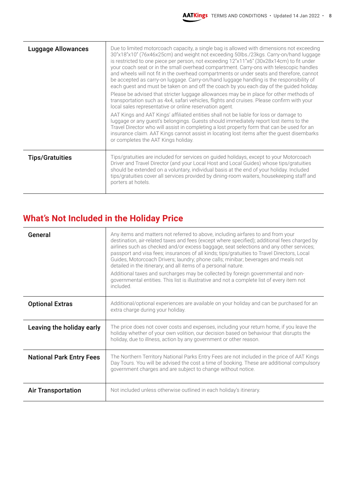| <b>Luggage Allowances</b> | Due to limited motorcoach capacity, a single bag is allowed with dimensions not exceeding<br>30"x18"x10" (76x46x25cm) and weight not exceeding 50lbs./23kgs. Carry-on/hand luggage<br>is restricted to one piece per person, not exceeding $12"x11"x6"$ (30x28x14cm) to fit under<br>your coach seat or in the small overhead compartment. Carry-ons with telescopic handles<br>and wheels will not fit in the overhead compartments or under seats and therefore, cannot<br>be accepted as carry-on luggage. Carry-on/hand luggage handling is the responsibility of<br>each guest and must be taken on and off the coach by you each day of the guided holiday.<br>Please be advised that stricter luggage allowances may be in place for other methods of<br>transportation such as 4x4, safari vehicles, flights and cruises. Please confirm with your<br>local sales representative or online reservation agent.<br>AAT Kings and AAT Kings' affiliated entities shall not be liable for loss or damage to<br>luggage or any guest's belongings. Guests should immediately report lost items to the<br>Travel Director who will assist in completing a lost property form that can be used for an<br>insurance claim. AAT Kings cannot assist in locating lost items after the guest disembarks<br>or completes the AAT Kings holiday. |
|---------------------------|---------------------------------------------------------------------------------------------------------------------------------------------------------------------------------------------------------------------------------------------------------------------------------------------------------------------------------------------------------------------------------------------------------------------------------------------------------------------------------------------------------------------------------------------------------------------------------------------------------------------------------------------------------------------------------------------------------------------------------------------------------------------------------------------------------------------------------------------------------------------------------------------------------------------------------------------------------------------------------------------------------------------------------------------------------------------------------------------------------------------------------------------------------------------------------------------------------------------------------------------------------------------------------------------------------------------------------------------|
| <b>Tips/Gratuities</b>    | Tips/gratuities are included for services on guided holidays, except to your Motorcoach<br>Driver and Travel Director (and your Local Host and Local Guides) whose tips/gratuities<br>should be extended on a voluntary, individual basis at the end of your holiday. Included<br>tips/gratuities cover all services provided by dining-room waiters, housekeeping staff and<br>porters at hotels.                                                                                                                                                                                                                                                                                                                                                                                                                                                                                                                                                                                                                                                                                                                                                                                                                                                                                                                                          |

#### **What's Not Included in the Holiday Price**

| General                         | Any items and matters not referred to above, including airfares to and from your<br>destination, air-related taxes and fees (except where specified); additional fees charged by<br>airlines such as checked and/or excess baggage, seat selections and any other services;<br>passport and visa fees; insurances of all kinds; tips/gratuities to Travel Directors, Local<br>Guides, Motorcoach Drivers; laundry; phone calls; minibar; beverages and meals not<br>detailed in the itinerary; and all items of a personal nature.<br>Additional taxes and surcharges may be collected by foreign governmental and non-<br>governmental entities. This list is illustrative and not a complete list of every item not<br>included. |
|---------------------------------|------------------------------------------------------------------------------------------------------------------------------------------------------------------------------------------------------------------------------------------------------------------------------------------------------------------------------------------------------------------------------------------------------------------------------------------------------------------------------------------------------------------------------------------------------------------------------------------------------------------------------------------------------------------------------------------------------------------------------------|
| <b>Optional Extras</b>          | Additional/optional experiences are available on your holiday and can be purchased for an<br>extra charge during your holiday.                                                                                                                                                                                                                                                                                                                                                                                                                                                                                                                                                                                                     |
| Leaving the holiday early       | The price does not cover costs and expenses, including your return home, if you leave the<br>holiday whether of your own volition, our decision based on behaviour that disrupts the<br>holiday, due to illness, action by any government or other reason.                                                                                                                                                                                                                                                                                                                                                                                                                                                                         |
| <b>National Park Entry Fees</b> | The Northern Territory National Parks Entry Fees are not included in the price of AAT Kings<br>Day Tours. You will be advised the cost a time of booking. These are additional compulsory<br>government charges and are subject to change without notice.                                                                                                                                                                                                                                                                                                                                                                                                                                                                          |
| <b>Air Transportation</b>       | Not included unless otherwise outlined in each holiday's itinerary.                                                                                                                                                                                                                                                                                                                                                                                                                                                                                                                                                                                                                                                                |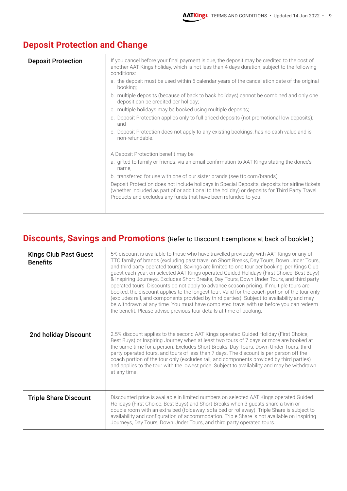| <b>Deposit Protection</b> | If you cancel before your final payment is due, the deposit may be credited to the cost of<br>another AAT Kings holiday, which is not less than 4 days duration, subject to the following<br>conditions:                                                           |
|---------------------------|--------------------------------------------------------------------------------------------------------------------------------------------------------------------------------------------------------------------------------------------------------------------|
|                           | a. the deposit must be used within 5 calendar years of the cancellation date of the original<br>booking;                                                                                                                                                           |
|                           | b. multiple deposits (because of back to back holidays) cannot be combined and only one<br>deposit can be credited per holiday;                                                                                                                                    |
|                           | c. multiple holidays may be booked using multiple deposits;                                                                                                                                                                                                        |
|                           | d. Deposit Protection applies only to full priced deposits (not promotional low deposits);<br>and                                                                                                                                                                  |
|                           | e. Deposit Protection does not apply to any existing bookings, has no cash value and is<br>non-refundable.                                                                                                                                                         |
|                           | A Deposit Protection benefit may be:                                                                                                                                                                                                                               |
|                           | a. gifted to family or friends, via an email confirmation to AAT Kings stating the donee's<br>name,                                                                                                                                                                |
|                           | b. transferred for use with one of our sister brands (see ttc.com/brands)                                                                                                                                                                                          |
|                           | Deposit Protection does not include holidays in Special Deposits, deposits for airline tickets<br>(whether included as part of or additional to the holiday) or deposits for Third Party Travel<br>Products and excludes any funds that have been refunded to you. |
|                           |                                                                                                                                                                                                                                                                    |

#### **Deposit Protection and Change**

#### **Discounts, Savings and Promotions** (Refer to Discount Exemptions at back of booklet.)

| <b>Kings Club Past Guest</b><br><b>Benefits</b> | 5% discount is available to those who have travelled previously with AAT Kings or any of<br>TTC family of brands (excluding past travel on Short Breaks, Day Tours, Down Under Tours,<br>and third party operated tours). Savings are limited to one tour per booking, per Kings Club<br>guest each year, on selected AAT Kings operated Guided Holidays (First Choice, Best Buys)<br>& Inspiring Journeys. Excludes Short Breaks, Day Tours, Down Under Tours, and third party<br>operated tours. Discounts do not apply to advance season pricing. If multiple tours are<br>booked, the discount applies to the longest tour. Valid for the coach portion of the tour only<br>(excludes rail, and components provided by third parties). Subject to availability and may<br>be withdrawn at any time. You must have completed travel with us before you can redeem<br>the benefit. Please advise previous tour details at time of booking. |
|-------------------------------------------------|----------------------------------------------------------------------------------------------------------------------------------------------------------------------------------------------------------------------------------------------------------------------------------------------------------------------------------------------------------------------------------------------------------------------------------------------------------------------------------------------------------------------------------------------------------------------------------------------------------------------------------------------------------------------------------------------------------------------------------------------------------------------------------------------------------------------------------------------------------------------------------------------------------------------------------------------|
| <b>2nd holiday Discount</b>                     | 2.5% discount applies to the second AAT Kings operated Guided Holiday (First Choice,<br>Best Buys) or Inspiring Journey when at least two tours of 7 days or more are booked at<br>the same time for a person. Excludes Short Breaks, Day Tours, Down Under Tours, third<br>party operated tours, and tours of less than 7 days. The discount is per person off the<br>coach portion of the tour only (excludes rail, and components provided by third parties)<br>and applies to the tour with the lowest price. Subject to availability and may be withdrawn<br>at any time.                                                                                                                                                                                                                                                                                                                                                               |
| <b>Triple Share Discount</b>                    | Discounted price is available in limited numbers on selected AAT Kings operated Guided<br>Holidays (First Choice, Best Buys) and Short Breaks when 3 guests share a twin or<br>double room with an extra bed (foldaway, sofa bed or rollaway). Triple Share is subject to<br>availability and configuration of accommodation. Triple Share is not available on Inspiring<br>Journeys, Day Tours, Down Under Tours, and third party operated tours.                                                                                                                                                                                                                                                                                                                                                                                                                                                                                           |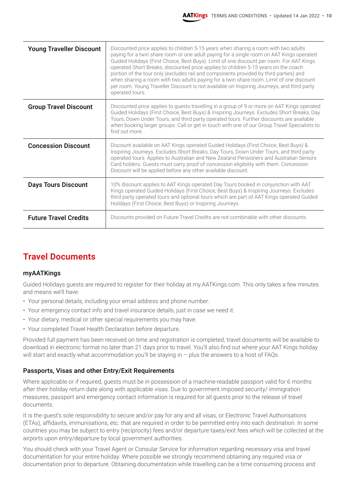| <b>Young Traveller Discount</b> | Discounted price applies to children 5-15 years when sharing a room with two adults<br>paying for a twin share room or one adult paying for a single room on AAT Kings operated<br>Guided Holidays (First Choice, Best Buys). Limit of one discount per room. For AAT Kings<br>operated Short Breaks, discounted price applies to children 5-15 years on the coach<br>portion of the tour only (excludes rail and components provided by third parties) and<br>when sharing a room with two adults paying for a twin share room. Limit of one discount<br>per room. Young Traveller Discount is not available on Inspiring Journeys, and third party<br>operated tours. |
|---------------------------------|-------------------------------------------------------------------------------------------------------------------------------------------------------------------------------------------------------------------------------------------------------------------------------------------------------------------------------------------------------------------------------------------------------------------------------------------------------------------------------------------------------------------------------------------------------------------------------------------------------------------------------------------------------------------------|
| <b>Group Travel Discount</b>    | Discounted price applies to guests travelling in a group of 9 or more on AAT Kings operated<br>Guided Holidays (First Choice, Best Buys) & Inspiring Journeys. Excludes Short Breaks, Day<br>Tours, Down Under Tours, and third party operated tours. Further discounts are available<br>when booking larger groups. Call or get in touch with one of our Group Travel Specialists to<br>find out more.                                                                                                                                                                                                                                                                 |
| <b>Concession Discount</b>      | Discount available on AAT Kings operated Guided Holidays (First Choice, Best Buys) &<br>Inspiring Journeys. Excludes Short Breaks, Day Tours, Down Under Tours, and third party<br>operated tours. Applies to Australian and New Zealand Pensioners and Australian Seniors<br>Card holders. Guests must carry proof of concession eligibility with them. Concession<br>Discount will be applied before any other available discount.                                                                                                                                                                                                                                    |
| <b>Days Tours Discount</b>      | 10% discount applies to AAT Kings operated Day Tours booked in conjunction with AAT<br>Kings operated Guided Holidays (First Choice, Best Buys) & Inspiring Journeys. Excludes<br>third party operated tours and optional tours which are part of AAT Kings operated Guided<br>Holidays (First Choice, Best Buys) or Inspiring Journeys.                                                                                                                                                                                                                                                                                                                                |
| <b>Future Travel Credits</b>    | Discounts provided on Future Travel Credits are not combinable with other discounts.                                                                                                                                                                                                                                                                                                                                                                                                                                                                                                                                                                                    |

#### **Travel Documents**

#### myAATKings

Guided Holidays guests are required to register for their holiday at my.AATKings.com. This only takes a few minutes and means we'll have:

- Your personal details, including your email address and phone number.
- Your emergency contact info and travel insurance details, just in case we need it.
- Your dietary, medical or other special requirements you may have.
- Your completed Travel Health Declaration before departure.

Provided full payment has been received on time and registration is completed, travel documents will be available to download in electronic format no later than 21 days prior to travel. You'll also find out where your AAT Kings holiday will start and exactly what accommodation you'll be staying in – plus the answers to a host of FAQs.

#### Passports, Visas and other Entry/Exit Requirements

Where applicable or if required, guests must be in possession of a machine-readable passport valid for 6 months after their holiday return date along with applicable visas. Due to government imposed security/ immigration measures, passport and emergency contact information is required for all guests prior to the release of travel documents.

It is the guest's sole responsibility to secure and/or pay for any and all visas, or Electronic Travel Authorisations (ETAs), affidavits, immunisations, etc. that are required in order to be permitted entry into each destination. In some countries you may be subject to entry (reciprocity) fees and/or departure taxes/exit fees which will be collected at the airports upon entry/departure by local government authorities.

You should check with your Travel Agent or Consular Service for information regarding necessary visa and travel documentation for your entire holiday. Where possible we strongly recommend obtaining any required visa or documentation prior to departure. Obtaining documentation while travelling can be a time consuming process and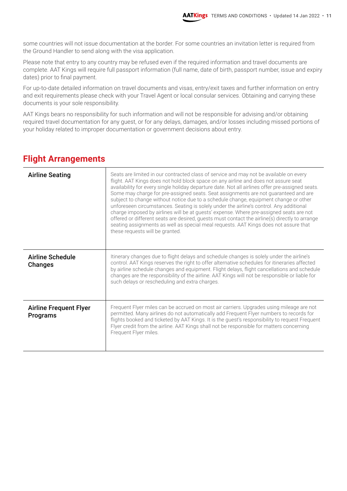some countries will not issue documentation at the border. For some countries an invitation letter is required from the Ground Handler to send along with the visa application.

Please note that entry to any country may be refused even if the required information and travel documents are complete. AAT Kings will require full passport information (full name, date of birth, passport number, issue and expiry dates) prior to final payment.

For up-to-date detailed information on travel documents and visas, entry/exit taxes and further information on entry and exit requirements please check with your Travel Agent or local consular services. Obtaining and carrying these documents is your sole responsibility.

AAT Kings bears no responsibility for such information and will not be responsible for advising and/or obtaining required travel documentation for any guest, or for any delays, damages, and/or losses including missed portions of your holiday related to improper documentation or government decisions about entry.

#### **Flight Arrangements**

| <b>Airline Seating</b>                    | Seats are limited in our contracted class of service and may not be available on every<br>flight. AAT Kings does not hold block space on any airline and does not assure seat<br>availability for every single holiday departure date. Not all airlines offer pre-assigned seats.<br>Some may charge for pre-assigned seats. Seat assignments are not guaranteed and are<br>subject to change without notice due to a schedule change, equipment change or other<br>unforeseen circumstances. Seating is solely under the airline's control. Any additional<br>charge imposed by airlines will be at guests' expense. Where pre-assigned seats are not<br>offered or different seats are desired, guests must contact the airline(s) directly to arrange<br>seating assignments as well as special meal requests. AAT Kings does not assure that<br>these requests will be granted. |
|-------------------------------------------|-------------------------------------------------------------------------------------------------------------------------------------------------------------------------------------------------------------------------------------------------------------------------------------------------------------------------------------------------------------------------------------------------------------------------------------------------------------------------------------------------------------------------------------------------------------------------------------------------------------------------------------------------------------------------------------------------------------------------------------------------------------------------------------------------------------------------------------------------------------------------------------|
| <b>Airline Schedule</b><br><b>Changes</b> | Itinerary changes due to flight delays and schedule changes is solely under the airline's<br>control. AAT Kings reserves the right to offer alternative schedules for itineraries affected<br>by airline schedule changes and equipment. Flight delays, flight cancellations and schedule<br>changes are the responsibility of the airline. AAT Kings will not be responsible or liable for<br>such delays or rescheduling and extra charges.                                                                                                                                                                                                                                                                                                                                                                                                                                       |
| <b>Airline Frequent Flyer</b><br>Programs | Frequent Flyer miles can be accrued on most air carriers. Upgrades using mileage are not<br>permitted. Many airlines do not automatically add Frequent Flyer numbers to records for<br>flights booked and ticketed by AAT Kings. It is the guest's responsibility to request Frequent<br>Flyer credit from the airline. AAT Kings shall not be responsible for matters concerning<br>Frequent Flyer miles.                                                                                                                                                                                                                                                                                                                                                                                                                                                                          |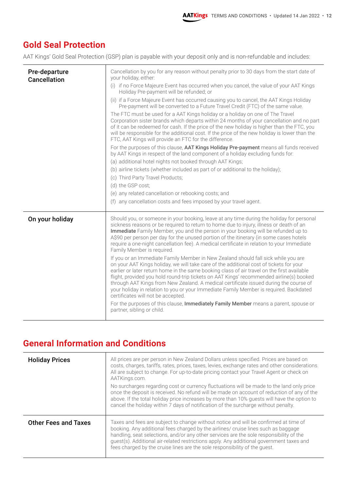#### **Gold Seal Protection**

AAT Kings' Gold Seal Protection (GSP) plan is payable with your deposit only and is non-refundable and includes:

| Pre-departure<br><b>Cancellation</b> | Cancellation by you for any reason without penalty prior to 30 days from the start date of<br>your holiday, either:<br>(i) if no Force Majeure Event has occurred when you cancel, the value of your AAT Kings<br>Holiday Pre-payment will be refunded; or<br>(ii) if a Force Majeure Event has occurred causing you to cancel, the AAT Kings Holiday<br>Pre-payment will be converted to a Future Travel Credit (FTC) of the same value.<br>The FTC must be used for a AAT Kings holiday or a holiday on one of The Travel<br>Corporation sister brands which departs within 24 months of your cancellation and no part<br>of it can be redeemed for cash. If the price of the new holiday is higher than the FTC, you<br>will be responsible for the additional cost. If the price of the new holiday is lower than the<br>FTC, AAT Kings will provide an FTC for the difference.<br>For the purposes of this clause, AAT Kings Holiday Pre-payment means all funds received<br>by AAT Kings in respect of the land component of a holiday excluding funds for:<br>(a) additional hotel nights not booked through AAT Kings;<br>(b) airline tickets (whether included as part of or additional to the holiday);<br>(c) Third Party Travel Products;<br>(d) the GSP cost;<br>(e) any related cancellation or rebooking costs; and<br>(f) any cancellation costs and fees imposed by your travel agent. |
|--------------------------------------|---------------------------------------------------------------------------------------------------------------------------------------------------------------------------------------------------------------------------------------------------------------------------------------------------------------------------------------------------------------------------------------------------------------------------------------------------------------------------------------------------------------------------------------------------------------------------------------------------------------------------------------------------------------------------------------------------------------------------------------------------------------------------------------------------------------------------------------------------------------------------------------------------------------------------------------------------------------------------------------------------------------------------------------------------------------------------------------------------------------------------------------------------------------------------------------------------------------------------------------------------------------------------------------------------------------------------------------------------------------------------------------------------------|
| On your holiday                      | Should you, or someone in your booking, leave at any time during the holiday for personal<br>sickness reasons or be required to return to home due to injury, illness or death of an<br>Immediate Family Member, you and the person in your booking will be refunded up to<br>A\$90 per person per day for the unused portion of the itinerary (in some cases hotels<br>require a one-night cancellation fee). A medical certificate in relation to your Immediate<br>Family Member is required.<br>If you or an Immediate Family Member in New Zealand should fall sick while you are<br>on your AAT Kings holiday, we will take care of the additional cost of tickets for your<br>earlier or later return home in the same booking class of air travel on the first available<br>flight, provided you hold round-trip tickets on AAT Kings' recommended airline(s) booked<br>through AAT Kings from New Zealand. A medical certificate issued during the course of<br>your holiday in relation to you or your Immediate Family Member is required. Backdated<br>certificates will not be accepted.<br>For the purposes of this clause, Immediately Family Member means a parent, spouse or<br>partner, sibling or child.                                                                                                                                                                             |

#### **General Information and Conditions**

| <b>Holiday Prices</b>       | All prices are per person in New Zealand Dollars unless specified. Prices are based on<br>costs, charges, tariffs, rates, prices, taxes, levies, exchange rates and other considerations.<br>All are subject to change. For up-to-date pricing contact your Travel Agent or check on<br>AATKings.com.<br>No surcharges regarding cost or currency fluctuations will be made to the land only price<br>once the deposit is received. No refund will be made on account of reduction of any of the<br>above. If the total holiday price increases by more than 10% guests will have the option to<br>cancel the holiday within 7 days of notification of the surcharge without penalty. |
|-----------------------------|---------------------------------------------------------------------------------------------------------------------------------------------------------------------------------------------------------------------------------------------------------------------------------------------------------------------------------------------------------------------------------------------------------------------------------------------------------------------------------------------------------------------------------------------------------------------------------------------------------------------------------------------------------------------------------------|
| <b>Other Fees and Taxes</b> | Taxes and fees are subject to change without notice and will be confirmed at time of<br>booking. Any additional fees charged by the airlines/ cruise lines such as baggage<br>handling, seat selections, and/or any other services are the sole responsibility of the<br>guest(s). Additional air-related restrictions apply. Any additional government taxes and<br>fees charged by the cruise lines are the sole responsibility of the guest.                                                                                                                                                                                                                                       |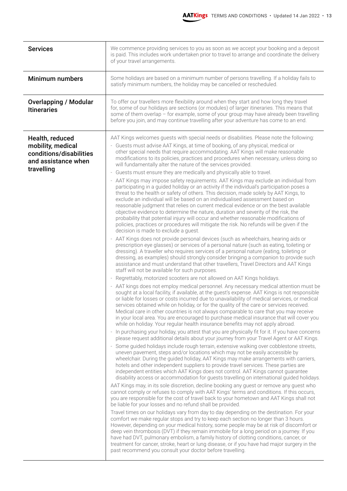| <b>Services</b>                                                                                      | We commence providing services to you as soon as we accept your booking and a deposit<br>is paid. This includes work undertaken prior to travel to arrange and coordinate the delivery<br>of your travel arrangements.                                                                                                                                                                                                                                                                                                                                                                                                                                                                                                                                                                                                                                                                                                                                                                                                                                                                                                                                                                                                                                                                                                                                                                                                                                                                                                                                                                                                                                                                                                                                                                                                                                                                                                                                                                                                                                                                                                                                                                                                                                                                                                                                                                                                                                                                                                                                                                                                                                                                                                                                                                                                                                                                                                                                                                                                                                                                                                                                                                                                                                                                                                                                                                                                                                                                                                                                                                                                                                                                                                                                                                                                                                                                                                                                                                                                                                                                                                                                                                                                                                                |
|------------------------------------------------------------------------------------------------------|-----------------------------------------------------------------------------------------------------------------------------------------------------------------------------------------------------------------------------------------------------------------------------------------------------------------------------------------------------------------------------------------------------------------------------------------------------------------------------------------------------------------------------------------------------------------------------------------------------------------------------------------------------------------------------------------------------------------------------------------------------------------------------------------------------------------------------------------------------------------------------------------------------------------------------------------------------------------------------------------------------------------------------------------------------------------------------------------------------------------------------------------------------------------------------------------------------------------------------------------------------------------------------------------------------------------------------------------------------------------------------------------------------------------------------------------------------------------------------------------------------------------------------------------------------------------------------------------------------------------------------------------------------------------------------------------------------------------------------------------------------------------------------------------------------------------------------------------------------------------------------------------------------------------------------------------------------------------------------------------------------------------------------------------------------------------------------------------------------------------------------------------------------------------------------------------------------------------------------------------------------------------------------------------------------------------------------------------------------------------------------------------------------------------------------------------------------------------------------------------------------------------------------------------------------------------------------------------------------------------------------------------------------------------------------------------------------------------------------------------------------------------------------------------------------------------------------------------------------------------------------------------------------------------------------------------------------------------------------------------------------------------------------------------------------------------------------------------------------------------------------------------------------------------------------------------------------------------------------------------------------------------------------------------------------------------------------------------------------------------------------------------------------------------------------------------------------------------------------------------------------------------------------------------------------------------------------------------------------------------------------------------------------------------------------------------------------------------------------------------------------------------------------------------------------------------------------------------------------------------------------------------------------------------------------------------------------------------------------------------------------------------------------------------------------------------------------------------------------------------------------------------------------------------------------------------------------------------------------------------------------------------------|
| <b>Minimum numbers</b>                                                                               | Some holidays are based on a minimum number of persons travelling. If a holiday fails to<br>satisfy minimum numbers, the holiday may be cancelled or rescheduled.                                                                                                                                                                                                                                                                                                                                                                                                                                                                                                                                                                                                                                                                                                                                                                                                                                                                                                                                                                                                                                                                                                                                                                                                                                                                                                                                                                                                                                                                                                                                                                                                                                                                                                                                                                                                                                                                                                                                                                                                                                                                                                                                                                                                                                                                                                                                                                                                                                                                                                                                                                                                                                                                                                                                                                                                                                                                                                                                                                                                                                                                                                                                                                                                                                                                                                                                                                                                                                                                                                                                                                                                                                                                                                                                                                                                                                                                                                                                                                                                                                                                                                     |
| <b>Overlapping / Modular</b><br><b>Itineraries</b>                                                   | To offer our travellers more flexibility around when they start and how long they travel<br>for, some of our holidays are sections (or modules) of larger itineraries. This means that<br>some of them overlap - for example, some of your group may have already been travelling<br>before you join, and may continue travelling after your adventure has come to an end.                                                                                                                                                                                                                                                                                                                                                                                                                                                                                                                                                                                                                                                                                                                                                                                                                                                                                                                                                                                                                                                                                                                                                                                                                                                                                                                                                                                                                                                                                                                                                                                                                                                                                                                                                                                                                                                                                                                                                                                                                                                                                                                                                                                                                                                                                                                                                                                                                                                                                                                                                                                                                                                                                                                                                                                                                                                                                                                                                                                                                                                                                                                                                                                                                                                                                                                                                                                                                                                                                                                                                                                                                                                                                                                                                                                                                                                                                            |
| Health, reduced<br>mobility, medical<br>conditions/disabilities<br>and assistance when<br>travelling | AAT Kings welcomes guests with special needs or disabilities. Please note the following:<br>- Guests must advise AAT Kings, at time of booking, of any physical, medical or<br>other special needs that require accommodating. AAT Kings will make reasonable<br>modifications to its policies, practices and procedures when necessary, unless doing so<br>will fundamentally alter the nature of the services provided.<br>Guests must ensure they are medically and physically able to travel.<br>$\overline{\phantom{a}}$<br>- AAT Kings may impose safety requirements. AAT Kings may exclude an individual from<br>participating in a guided holiday or an activity if the individual's participation poses a<br>threat to the health or safety of others. This decision, made solely by AAT Kings, to<br>exclude an individual will be based on an individualised assessment based on<br>reasonable judgment that relies on current medical evidence or on the best available<br>objective evidence to determine the nature, duration and severity of the risk, the<br>probability that potential injury will occur and whether reasonable modifications of<br>policies, practices or procedures will mitigate the risk. No refunds will be given if the<br>decision is made to exclude a guest.<br>- AAT Kings does not provide personal devices (such as wheelchairs, hearing aids or<br>prescription eye glasses) or services of a personal nature (such as eating, toileting or<br>dressing). A traveller who requires services of a personal nature (eating, toileting or<br>dressing, as examples) should strongly consider bringing a companion to provide such<br>assistance and must understand that other travellers, Travel Directors and AAT Kings<br>staff will not be available for such purposes.<br>Regrettably, motorized scooters are not allowed on AAT Kings holidays.<br>$\overline{\phantom{a}}$<br>- AAT kings does not employ medical personnel. Any necessary medical attention must be<br>sought at a local facility, if available, at the guest's expense. AAT Kings is not responsible<br>or liable for losses or costs incurred due to unavailability of medical services, or medical<br>services obtained while on holiday, or for the quality of the care or services received.<br>Medical care in other countries is not always comparable to care that you may receive<br>in your local area. You are encouraged to purchase medical insurance that will cover you<br>while on holiday. Your regular health insurance benefits may not apply abroad.<br>- In purchasing your holiday, you attest that you are physically fit for it. If you have concerns<br>please request additional details about your journey from your Travel Agent or AAT Kings.<br>- Some guided holidays include rough terrain, extensive walking over cobblestone streets,<br>uneven pavement, steps and/or locations which may not be easily accessible by<br>wheelchair. During the guided holiday, AAT Kings may make arrangements with carriers,<br>hotels and other independent suppliers to provide travel services. These parties are<br>independent entities which AAT Kings does not control. AAT Kings cannot guarantee<br>disability access or accommodation for guests travelling on international guided holidays.<br>AAT Kings may, in its sole discretion, decline booking any guest or remove any guest who<br>cannot comply or refuses to comply with AAT Kings' terms and conditions. If this occurs,<br>you are responsible for the cost of travel back to your hometown and AAT Kings shall not<br>be liable for your losses and no refund shall be provided.<br>Travel times on our holidays vary from day to day depending on the destination. For your<br>comfort we make regular stops and try to keep each section no longer than 3 hours.<br>However, depending on your medical history, some people may be at risk of discomfort or<br>deep vein thrombosis (DVT) if they remain immobile for a long period on a journey. If you<br>have had DVT, pulmonary embolism, a family history of clotting conditions, cancer, or<br>treatment for cancer, stroke, heart or lung disease, or if you have had major surgery in the |
|                                                                                                      | past recommend you consult your doctor before travelling.                                                                                                                                                                                                                                                                                                                                                                                                                                                                                                                                                                                                                                                                                                                                                                                                                                                                                                                                                                                                                                                                                                                                                                                                                                                                                                                                                                                                                                                                                                                                                                                                                                                                                                                                                                                                                                                                                                                                                                                                                                                                                                                                                                                                                                                                                                                                                                                                                                                                                                                                                                                                                                                                                                                                                                                                                                                                                                                                                                                                                                                                                                                                                                                                                                                                                                                                                                                                                                                                                                                                                                                                                                                                                                                                                                                                                                                                                                                                                                                                                                                                                                                                                                                                             |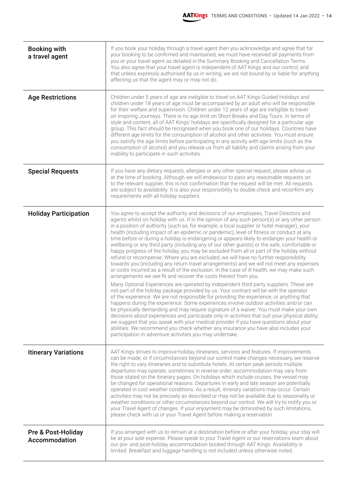| <b>Booking with</b><br>a travel agent | If you book your holiday through a travel agent then you acknowledge and agree that for<br>your booking to be confirmed and maintained, we must have received all payments from<br>you or your travel agent as detailed in the Summary Booking and Cancellation Terms.<br>You also agree that your travel agent is independent of AAT Kings and our control; and<br>that unless expressly authorised by us in writing, we are not bound by or liable for anything<br>affecting us that the agent may or may not do.                                                                                                                                                                                                                                                                                                                                                                                                                                                                                                                                                                                                                                                                                                                                                                                                                                                                                                                                                                                                                                                                                                                                                                                                                                                                                                                                    |
|---------------------------------------|--------------------------------------------------------------------------------------------------------------------------------------------------------------------------------------------------------------------------------------------------------------------------------------------------------------------------------------------------------------------------------------------------------------------------------------------------------------------------------------------------------------------------------------------------------------------------------------------------------------------------------------------------------------------------------------------------------------------------------------------------------------------------------------------------------------------------------------------------------------------------------------------------------------------------------------------------------------------------------------------------------------------------------------------------------------------------------------------------------------------------------------------------------------------------------------------------------------------------------------------------------------------------------------------------------------------------------------------------------------------------------------------------------------------------------------------------------------------------------------------------------------------------------------------------------------------------------------------------------------------------------------------------------------------------------------------------------------------------------------------------------------------------------------------------------------------------------------------------------|
| <b>Age Restrictions</b>               | Children under 5 years of age are ineligible to travel on AAT Kings Guided Holidays and<br>children under 18 years of age must be accompanied by an adult who will be responsible<br>for their welfare and supervision. Children under 12 years of age are ineligible to travel<br>on Inspiring Journeys. There is no age limit on Short Breaks and Day Tours. In terms of<br>style and content, all of AAT Kings' holidays are specifically designed for a particular age<br>group. This fact should be recognised when you book one of our holidays. Countries have<br>different age limits for the consumption of alcohol and other activities. You must ensure<br>you satisfy the age limits before participating in any activity with age limits (such as the<br>consumption of alcohol) and you release us from all liability and claims arising from your<br>inability to participate in such activities.                                                                                                                                                                                                                                                                                                                                                                                                                                                                                                                                                                                                                                                                                                                                                                                                                                                                                                                                       |
| <b>Special Requests</b>               | If you have any dietary requests, allergies or any other special request, please advise us<br>at the time of booking. Although we will endeavour to pass any reasonable requests on<br>to the relevant supplier, this is not confirmation that the request will be met. All requests<br>are subject to availability. It is also your responsibility to double check and reconfirm any<br>requirements with all holiday suppliers.                                                                                                                                                                                                                                                                                                                                                                                                                                                                                                                                                                                                                                                                                                                                                                                                                                                                                                                                                                                                                                                                                                                                                                                                                                                                                                                                                                                                                      |
| <b>Holiday Participation</b>          | You agree to accept the authority and decisions of our employees, Travel Directors and<br>agents whilst on holiday with us. If in the opinion of any such person(s) or any other person<br>in a position of authority (such as, for example, a local supplier or hotel manager), your<br>health (including impact of an epidemic or pandemic), level of fitness or conduct at any<br>time before or during a holiday is endangering or appears likely to endanger your health or<br>wellbeing or any third party (including any of our other guests) or the safe, comfortable or<br>happy progress of the holiday, you may be excluded from all or part of the holiday without<br>refund or recompense. Where you are excluded, we will have no further responsibility<br>towards you (including any return travel arrangements) and we will not meet any expenses<br>or costs incurred as a result of the exclusion. In the case of ill health, we may make such<br>arrangements we see fit and recover the costs thereof from you.<br>Many Optional Experiences are operated by independent third party suppliers. These are<br>not part of the holiday package provided by us. Your contract will be with the operator<br>of the experience. We are not responsible for providing the experience, or anything that<br>happens during the experience. Some experiences involve outdoor activities and/or can<br>be physically demanding and may require signature of a waiver. You must make your own<br>decisions about experiences and participate only in activities that suit your physical ability;<br>we suggest that you speak with your medical provider if you have questions about your<br>abilities. We recommend you check whether any insurance you have also includes your<br>participation in adventure activities you may undertake. |
| <b>Itinerary Variations</b>           | AAT Kings strives to improve holiday itineraries, services and features. If improvements<br>can be made, or if circumstances beyond our control make changes necessary, we reserve<br>the right to vary itineraries and to substitute hotels. At certain peak periods multiple<br>departures may operate, sometimes in reverse order; accommodation may vary from<br>those stated on the itinerary pages. On holidays which include cruises, the vessel may<br>be changed for operational reasons. Departures in early and late season are potentially<br>operated in cool weather conditions. As a result, itinerary variations may occur. Certain<br>activities may not be precisely as described or may not be available due to seasonality or<br>weather conditions or other circumstances beyond our control. We will try to notify you or<br>your Travel Agent of changes. If your enjoyment may be diminished by such limitations,<br>please check with us or your Travel Agent before making a reservation.                                                                                                                                                                                                                                                                                                                                                                                                                                                                                                                                                                                                                                                                                                                                                                                                                                    |
| Pre & Post-Holiday<br>Accommodation   | If you arranged with us to remain at a destination before or after your holiday, your stay will<br>be at your sole expense. Please speak to your Travel Agent or our reservations team about<br>our pre- and post-holiday accommodation booked through AAT Kings. Availability is<br>limited. Breakfast and luggage handling is not included unless otherwise noted.                                                                                                                                                                                                                                                                                                                                                                                                                                                                                                                                                                                                                                                                                                                                                                                                                                                                                                                                                                                                                                                                                                                                                                                                                                                                                                                                                                                                                                                                                   |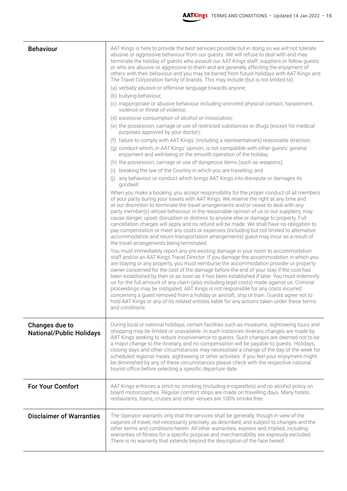| <b>Behaviour</b>                                  | AAT Kings is here to provide the best services possible but in doing so we will not tolerate<br>abusive or aggressive behaviour from our guests. We will refuse to deal with and may<br>terminate the holiday of guests who assault our AAT Kings staff, suppliers or fellow guests<br>or who are abusive or aggressive to them and are generally affecting the enjoyment of<br>others with their behaviour and you may be barred from future holidays with AAT Kings and<br>The Travel Corporation family of brands. This may include (but is not limited to):<br>(a) verbally abusive or offensive language towards anyone;<br>(b) bullying behaviour;<br>(c) inappropriate or abusive behaviour including uninvited physical contact, harassment,<br>violence or threat of violence;<br>(d) excessive consumption of alcohol or intoxication;<br>(e) the possession, carriage or use of restricted substances or drugs (except for medical<br>purposes approved by your doctor);<br>(f) failure to comply with AAT Kings' (including a representative's) reasonable direction;<br>(g) conduct which, in AAT Kings' opinion, is not compatible with other guests' general<br>enjoyment and well-being or the smooth operation of the holiday;<br>(h) the possession, carriage or use of dangerous items (such as weapons);<br>(i) breaking the law of the Country in which you are travelling; and<br>(j) any behaviour or conduct which brings AAT Kings into disrepute or damages its<br>goodwill.<br>When you make a booking, you accept responsibility for the proper conduct of all members<br>of your party during your travels with AAT Kings. We reserve the right at any time and<br>at our discretion to terminate the travel arrangements and/or cease to deal with any<br>party member(s) whose behaviour, in the reasonable opinion of us or our suppliers, may<br>cause danger, upset, disruption or distress to anyone else or damage to property. Full<br>cancellation charges will apply and no refund will be made. We shall have no obligation to<br>pay compensation or meet any costs or expenses (including but not limited to alternative<br>accommodation and return transportation arrangements) guest may incur as a result of<br>the travel arrangements being terminated.<br>You must immediately report any pre-existing damage in your room to accommodation<br>staff and/or an AAT Kings Travel Director. If you damage the accommodation in which you<br>are staying or any property, you must reimburse the accommodation provider or property<br>owner concerned for the cost of the damage before the end of your stay if the cost has<br>been established by then or as soon as it has been established if later. You must indemnify<br>us for the full amount of any claim (also including legal costs) made against us. Criminal<br>proceedings may be instigated. AAT Kings is not responsible for any costs incurred<br>concerning a guest removed from a holiday or aircraft, ship or train. Guests agree not to<br>hold AAT Kings or any of its related entities liable for any actions taken under these terms |
|---------------------------------------------------|-------------------------------------------------------------------------------------------------------------------------------------------------------------------------------------------------------------------------------------------------------------------------------------------------------------------------------------------------------------------------------------------------------------------------------------------------------------------------------------------------------------------------------------------------------------------------------------------------------------------------------------------------------------------------------------------------------------------------------------------------------------------------------------------------------------------------------------------------------------------------------------------------------------------------------------------------------------------------------------------------------------------------------------------------------------------------------------------------------------------------------------------------------------------------------------------------------------------------------------------------------------------------------------------------------------------------------------------------------------------------------------------------------------------------------------------------------------------------------------------------------------------------------------------------------------------------------------------------------------------------------------------------------------------------------------------------------------------------------------------------------------------------------------------------------------------------------------------------------------------------------------------------------------------------------------------------------------------------------------------------------------------------------------------------------------------------------------------------------------------------------------------------------------------------------------------------------------------------------------------------------------------------------------------------------------------------------------------------------------------------------------------------------------------------------------------------------------------------------------------------------------------------------------------------------------------------------------------------------------------------------------------------------------------------------------------------------------------------------------------------------------------------------------------------------------------------------------------------------------------------------------------------------------------------------------------------------------------------------------------------------------------------------------------------------------------------------------------------------------------------------------------------------------|
|                                                   | and conditions.                                                                                                                                                                                                                                                                                                                                                                                                                                                                                                                                                                                                                                                                                                                                                                                                                                                                                                                                                                                                                                                                                                                                                                                                                                                                                                                                                                                                                                                                                                                                                                                                                                                                                                                                                                                                                                                                                                                                                                                                                                                                                                                                                                                                                                                                                                                                                                                                                                                                                                                                                                                                                                                                                                                                                                                                                                                                                                                                                                                                                                                                                                                                             |
| Changes due to<br><b>National/Public Holidays</b> | During local or national holidays, certain facilities such as museums, sightseeing tours and<br>shopping may be limited or unavailable. In such instances itinerary changes are made by<br>AAT Kings seeking to reduce inconvenience to guests. Such changes are deemed not to be<br>a major change to the itinerary, and no compensation will be payable to guests. Holidays,<br>closing days and other circumstances may necessitate a change of the day of the week for<br>scheduled regional meals, sightseeing or other activities. If you feel your enjoyment might<br>be diminished by any of these circumstances please check with the respective national<br>tourist office before selecting a specific departure date.                                                                                                                                                                                                                                                                                                                                                                                                                                                                                                                                                                                                                                                                                                                                                                                                                                                                                                                                                                                                                                                                                                                                                                                                                                                                                                                                                                                                                                                                                                                                                                                                                                                                                                                                                                                                                                                                                                                                                                                                                                                                                                                                                                                                                                                                                                                                                                                                                            |
| <b>For Your Comfort</b>                           | AAT Kings enforces a strict no smoking (including e-cigarettes) and no alcohol policy on<br>board motorcoaches. Regular comfort stops are made on travelling days. Many hotels,<br>restaurants, trains, cruises and other venues are 100% smoke free.                                                                                                                                                                                                                                                                                                                                                                                                                                                                                                                                                                                                                                                                                                                                                                                                                                                                                                                                                                                                                                                                                                                                                                                                                                                                                                                                                                                                                                                                                                                                                                                                                                                                                                                                                                                                                                                                                                                                                                                                                                                                                                                                                                                                                                                                                                                                                                                                                                                                                                                                                                                                                                                                                                                                                                                                                                                                                                       |
| <b>Disclaimer of Warranties</b>                   | The Operator warrants only that the services shall be generally, though in view of the<br>vagaries of travel, not necessarily precisely, as described, and subject to changes and the<br>other terms and conditions herein. All other warranties, express and implied, including<br>warranties of fitness for a specific purpose and merchantability are expressly excluded.<br>There is no warranty that extends beyond the description of the face hereof.                                                                                                                                                                                                                                                                                                                                                                                                                                                                                                                                                                                                                                                                                                                                                                                                                                                                                                                                                                                                                                                                                                                                                                                                                                                                                                                                                                                                                                                                                                                                                                                                                                                                                                                                                                                                                                                                                                                                                                                                                                                                                                                                                                                                                                                                                                                                                                                                                                                                                                                                                                                                                                                                                                |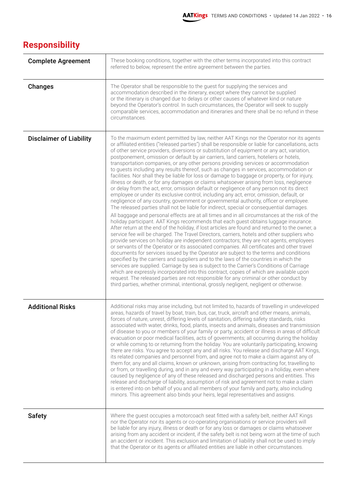## **Responsibility**

| <b>Complete Agreement</b>      | These booking conditions, together with the other terms incorporated into this contract<br>referred to below, represent the entire agreement between the parties.                                                                                                                                                                                                                                                                                                                                                                                                                                                                                                                                                                                                                                                                                                                                                                                                                                                                                                                                                                                                                                                                                                                                                                                                                                                                                                                                                                                                                                                                                                                                                                                                                                                                                                                                                                                                                                                                                                                                                                                                                                                                                                                                      |
|--------------------------------|--------------------------------------------------------------------------------------------------------------------------------------------------------------------------------------------------------------------------------------------------------------------------------------------------------------------------------------------------------------------------------------------------------------------------------------------------------------------------------------------------------------------------------------------------------------------------------------------------------------------------------------------------------------------------------------------------------------------------------------------------------------------------------------------------------------------------------------------------------------------------------------------------------------------------------------------------------------------------------------------------------------------------------------------------------------------------------------------------------------------------------------------------------------------------------------------------------------------------------------------------------------------------------------------------------------------------------------------------------------------------------------------------------------------------------------------------------------------------------------------------------------------------------------------------------------------------------------------------------------------------------------------------------------------------------------------------------------------------------------------------------------------------------------------------------------------------------------------------------------------------------------------------------------------------------------------------------------------------------------------------------------------------------------------------------------------------------------------------------------------------------------------------------------------------------------------------------------------------------------------------------------------------------------------------------|
| <b>Changes</b>                 | The Operator shall be responsible to the guest for supplying the services and<br>accommodation described in the itinerary, except where they cannot be supplied<br>or the itinerary is changed due to delays or other causes of whatever kind or nature<br>beyond the Operator's control. In such circumstances, the Operator will seek to supply<br>comparable services, accommodation and itineraries and there shall be no refund in these<br>circumstances.                                                                                                                                                                                                                                                                                                                                                                                                                                                                                                                                                                                                                                                                                                                                                                                                                                                                                                                                                                                                                                                                                                                                                                                                                                                                                                                                                                                                                                                                                                                                                                                                                                                                                                                                                                                                                                        |
| <b>Disclaimer of Liability</b> | To the maximum extent permitted by law, neither AAT Kings nor the Operator nor its agents<br>or affiliated entities ("released parties") shall be responsible or liable for cancellations, acts<br>of other service providers, diversions or substitution of equipment or any act, variation,<br>postponement, omission or default by air carriers, land carriers, hoteliers or hotels,<br>transportation companies, or any other persons providing services or accommodation<br>to guests including any results thereof, such as changes in services, accommodation or<br>facilities. Nor shall they be liable for loss or damage to baggage or property, or for injury,<br>illness or death, or for any damages or claims whatsoever arising from loss, negligence<br>or delay from the act, error, omission default or negligence of any person not its direct<br>employee or under its exclusive control, including any act, error, omission, default, or<br>negligence of any country, government or governmental authority, officer or employee.<br>The released parties shall not be liable for indirect, special or consequential damages.<br>All baggage and personal effects are at all times and in all circumstances at the risk of the<br>holiday participant. AAT Kings recommends that each guest obtains luggage insurance.<br>After return at the end of the holiday, if lost articles are found and returned to the owner, a<br>service fee will be charged. The Travel Directors, carriers, hotels and other suppliers who<br>provide services on holiday are independent contractors; they are not agents, employees<br>or servants of the Operator or its associated companies. All certificates and other travel<br>documents for services issued by the Operator are subject to the terms and conditions<br>specified by the carriers and suppliers and to the laws of the countries in which the<br>services are supplied. Carriage by sea is subject to the Carrier's Conditions of Carriage<br>which are expressly incorporated into this contract, copies of which are available upon<br>request. The released parties are not responsible for any criminal or other conduct by<br>third parties, whether criminal, intentional, grossly negligent, negligent or otherwise. |
| <b>Additional Risks</b>        | Additional risks may arise including, but not limited to, hazards of travelling in undeveloped<br>areas, hazards of travel by boat, train, bus, car, truck, aircraft and other means, animals,<br>forces of nature, unrest, differing levels of sanitation, differing safety standards, risks<br>associated with water, drinks, food, plants, insects and animals, diseases and transmission<br>of disease to you or members of your family or party, accident or illness in areas of difficult<br>evacuation or poor medical facilities, acts of governments; all occurring during the holiday<br>or while coming to or returning from the holiday. You are voluntarily participating, knowing<br>there are risks. You agree to accept any and all risks. You release and discharge AAT Kings,<br>its related companies and personnel from, and agree not to make a claim against any of<br>them for, any and all claims, known or unknown, arising from contracting for, travelling to<br>or from, or travelling during, and in any and every way participating in a holiday, even where<br>caused by negligence of any of these released and discharged persons and entities. This<br>release and discharge of liability, assumption of risk and agreement not to make a claim<br>is entered into on behalf of you and all members of your family and party, also including<br>minors. This agreement also binds your heirs, legal representatives and assigns.                                                                                                                                                                                                                                                                                                                                                                                                                                                                                                                                                                                                                                                                                                                                                                                                                                     |
| <b>Safety</b>                  | Where the guest occupies a motorcoach seat fitted with a safety belt, neither AAT Kings<br>nor the Operator nor its agents or co-operating organisations or service providers will<br>be liable for any injury, illness or death or for any loss or damages or claims whatsoever<br>arising from any accident or incident, if the safety belt is not being worn at the time of such<br>an accident or incident. This exclusion and limitation of liability shall not be used to imply<br>that the Operator or its agents or affiliated entities are liable in other circumstances.                                                                                                                                                                                                                                                                                                                                                                                                                                                                                                                                                                                                                                                                                                                                                                                                                                                                                                                                                                                                                                                                                                                                                                                                                                                                                                                                                                                                                                                                                                                                                                                                                                                                                                                     |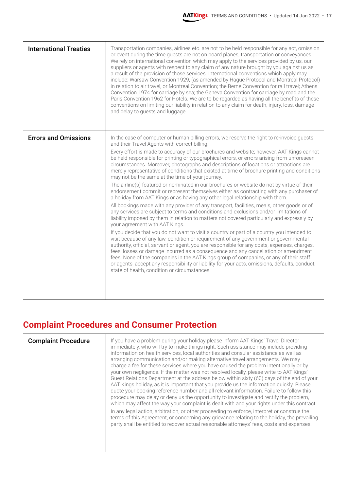| <b>International Treaties</b> | Transportation companies, airlines etc. are not to be held responsible for any act, omission<br>or event during the time guests are not on board planes, transportation or conveyances.<br>We rely on international convention which may apply to the services provided by us, our<br>suppliers or agents with respect to any claim of any nature brought by you against us as<br>a result of the provision of those services. International conventions which apply may<br>include: Warsaw Convention 1929, (as amended by Hague Protocol and Montreal Protocol)<br>in relation to air travel, or Montreal Convention; the Berne Convention for rail travel; Athens<br>Convention 1974 for carriage by sea; the Geneva Convention for carriage by road and the<br>Paris Convention 1962 for Hotels. We are to be regarded as having all the benefits of these<br>conventions on limiting our liability in relation to any claim for death, injury, loss, damage<br>and delay to guests and luggage.                                                                                                                                                                                                                                                                                                                                                                                                                                                                                                                                                                                                                                                                                                                                                                                                        |
|-------------------------------|-------------------------------------------------------------------------------------------------------------------------------------------------------------------------------------------------------------------------------------------------------------------------------------------------------------------------------------------------------------------------------------------------------------------------------------------------------------------------------------------------------------------------------------------------------------------------------------------------------------------------------------------------------------------------------------------------------------------------------------------------------------------------------------------------------------------------------------------------------------------------------------------------------------------------------------------------------------------------------------------------------------------------------------------------------------------------------------------------------------------------------------------------------------------------------------------------------------------------------------------------------------------------------------------------------------------------------------------------------------------------------------------------------------------------------------------------------------------------------------------------------------------------------------------------------------------------------------------------------------------------------------------------------------------------------------------------------------------------------------------------------------------------------------------------------------|
| <b>Errors and Omissions</b>   | In the case of computer or human billing errors, we reserve the right to re-invoice guests<br>and their Travel Agents with correct billing.<br>Every effort is made to accuracy of our brochures and website; however, AAT Kings cannot<br>be held responsible for printing or typographical errors, or errors arising from unforeseen<br>circumstances. Moreover, photographs and descriptions of locations or attractions are<br>merely representative of conditions that existed at time of brochure printing and conditions<br>may not be the same at the time of your journey.<br>The airline(s) featured or nominated in our brochures or website do not by virtue of their<br>endorsement commit or represent themselves either as contracting with any purchaser of<br>a holiday from AAT Kings or as having any other legal relationship with them.<br>All bookings made with any provider of any transport, facilities, meals, other goods or of<br>any services are subject to terms and conditions and exclusions and/or limitations of<br>liability imposed by them in relation to matters not covered particularly and expressly by<br>your agreement with AAT Kings.<br>If you decide that you do not want to visit a country or part of a country you intended to<br>visit because of any law, condition or requirement of any government or governmental<br>authority, official, servant or agent, you are responsible for any costs, expenses, charges,<br>fees, losses or damage incurred as a consequence and any cancellation or amendment<br>fees. None of the companies in the AAT Kings group of companies, or any of their staff<br>or agents, accept any responsibility or liability for your acts, omissions, defaults, conduct,<br>state of health, condition or circumstances. |

## **Complaint Procedures and Consumer Protection**

| <b>Complaint Procedure</b> | If you have a problem during your holiday please inform AAT Kings' Travel Director<br>immediately, who will try to make things right. Such assistance may include providing<br>information on health services, local authorities and consular assistance as well as<br>arranging communication and/or making alternative travel arrangements. We may<br>charge a fee for these services where you have caused the problem intentionally or by<br>your own negligence. If the matter was not resolved locally, please write to AAT Kings'<br>Guest Relations Department at the address below within sixty (60) days of the end of your<br>AAT Kings holiday, as it is important that you provide us the information quickly. Please<br>quote your booking reference number and all relevant information. Failure to follow this<br>procedure may delay or deny us the opportunity to investigate and rectify the problem,<br>which may affect the way your complaint is dealt with and your rights under this contract. |
|----------------------------|------------------------------------------------------------------------------------------------------------------------------------------------------------------------------------------------------------------------------------------------------------------------------------------------------------------------------------------------------------------------------------------------------------------------------------------------------------------------------------------------------------------------------------------------------------------------------------------------------------------------------------------------------------------------------------------------------------------------------------------------------------------------------------------------------------------------------------------------------------------------------------------------------------------------------------------------------------------------------------------------------------------------|
|                            | In any legal action, arbitration, or other proceeding to enforce, interpret or construe the<br>terms of this Agreement, or concerning any grievance relating to the holiday, the prevailing<br>party shall be entitled to recover actual reasonable attorneys' fees, costs and expenses.                                                                                                                                                                                                                                                                                                                                                                                                                                                                                                                                                                                                                                                                                                                               |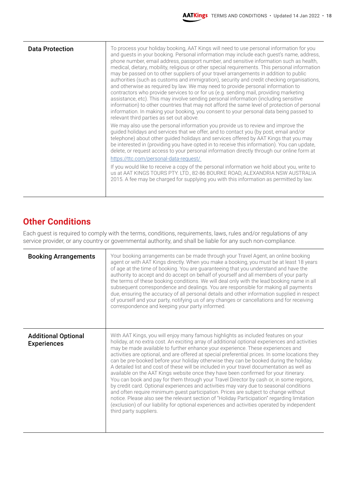| <b>Data Protection</b> | To process your holiday booking, AAT Kings will need to use personal information for you<br>and guests in your booking. Personal information may include each guest's name, address,<br>phone number, email address, passport number, and sensitive information such as health,<br>medical, dietary, mobility, religious or other special requirements. This personal information<br>may be passed on to other suppliers of your travel arrangements in addition to public<br>authorities (such as customs and immigration), security and credit checking organisations,<br>and otherwise as required by law. We may need to provide personal information to<br>contractors who provide services to or for us (e.g. sending mail, providing marketing<br>assistance, etc). This may involve sending personal information (including sensitive<br>information) to other countries that may not afford the same level of protection of personal<br>information. In making your booking, you consent to your personal data being passed to<br>relevant third parties as set out above. |
|------------------------|-------------------------------------------------------------------------------------------------------------------------------------------------------------------------------------------------------------------------------------------------------------------------------------------------------------------------------------------------------------------------------------------------------------------------------------------------------------------------------------------------------------------------------------------------------------------------------------------------------------------------------------------------------------------------------------------------------------------------------------------------------------------------------------------------------------------------------------------------------------------------------------------------------------------------------------------------------------------------------------------------------------------------------------------------------------------------------------|
|                        | We may also use the personal information you provide us to review and improve the<br>guided holidays and services that we offer, and to contact you (by post, email and/or<br>telephone) about other guided holidays and services offered by AAT Kings that you may<br>be interested in (providing you have opted in to receive this information). You can update,<br>delete, or request access to your personal information directly through our online form at<br>https://ttc.com/personal-data-request/                                                                                                                                                                                                                                                                                                                                                                                                                                                                                                                                                                          |
|                        | If you would like to receive a copy of the personal information we hold about you, write to<br>us at AAT KINGS TOURS PTY. LTD., 82-86 BOURKE ROAD, ALEXANDRIA NSW AUSTRALIA<br>2015. A fee may be charged for supplying you with this information as permitted by law.                                                                                                                                                                                                                                                                                                                                                                                                                                                                                                                                                                                                                                                                                                                                                                                                              |

#### **Other Conditions**

Each guest is required to comply with the terms, conditions, requirements, laws, rules and/or regulations of any service provider, or any country or governmental authority, and shall be liable for any such non-compliance.

| <b>Booking Arrangements</b>                      | Your booking arrangements can be made through your Travel Agent, an online booking<br>agent or with AAT Kings directly. When you make a booking, you must be at least 18 years<br>of age at the time of booking. You are guaranteeing that you understand and have the<br>authority to accept and do accept on behalf of yourself and all members of your party<br>the terms of these booking conditions. We will deal only with the lead booking name in all<br>subsequent correspondence and dealings. You are responsible for making all payments<br>due, ensuring the accuracy of all personal details and other information supplied in respect<br>of yourself and your party, notifying us of any changes or cancellations and for receiving<br>correspondence and keeping your party informed.                                                                                                                                                                                                                                                                                                                                                             |
|--------------------------------------------------|-------------------------------------------------------------------------------------------------------------------------------------------------------------------------------------------------------------------------------------------------------------------------------------------------------------------------------------------------------------------------------------------------------------------------------------------------------------------------------------------------------------------------------------------------------------------------------------------------------------------------------------------------------------------------------------------------------------------------------------------------------------------------------------------------------------------------------------------------------------------------------------------------------------------------------------------------------------------------------------------------------------------------------------------------------------------------------------------------------------------------------------------------------------------|
| <b>Additional Optional</b><br><b>Experiences</b> | With AAT Kings, you will enjoy many famous highlights as included features on your<br>holiday, at no extra cost. An exciting array of additional optional experiences and activities<br>may be made available to further enhance your experience. These experiences and<br>activities are optional, and are offered at special preferential prices. In some locations they<br>can be pre-booked before your holiday otherwise they can be booked during the holiday.<br>A detailed list and cost of these will be included in your travel documentation as well as<br>available on the AAT Kings website once they have been confirmed for your itinerary.<br>You can book and pay for them through your Travel Director by cash or, in some regions,<br>by credit card. Optional experiences and activities may vary due to seasonal conditions<br>and often require minimum guest participation. Prices are subject to change without<br>notice. Please also see the relevant section of "Holiday Participation" regarding limitation<br>(exclusion) of our liability for optional experiences and activities operated by independent<br>third party suppliers. |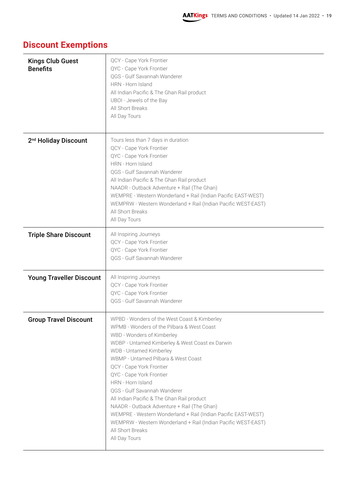| <b>Kings Club Guest</b><br><b>Benefits</b> | QCY - Cape York Frontier<br>QYC - Cape York Frontier<br>QGS - Gulf Savannah Wanderer<br>HRN - Horn Island<br>All Indian Pacific & The Ghan Rail product<br>UBOI - Jewels of the Bay<br>All Short Breaks<br>All Day Tours                                                                                                                                                                                                                                                                                                                                                                                                       |
|--------------------------------------------|--------------------------------------------------------------------------------------------------------------------------------------------------------------------------------------------------------------------------------------------------------------------------------------------------------------------------------------------------------------------------------------------------------------------------------------------------------------------------------------------------------------------------------------------------------------------------------------------------------------------------------|
| 2 <sup>nd</sup> Holiday Discount           | Tours less than 7 days in duration<br>QCY - Cape York Frontier<br>QYC - Cape York Frontier<br>HRN - Horn Island<br>QGS - Gulf Savannah Wanderer<br>All Indian Pacific & The Ghan Rail product<br>NAADR - Outback Adventure + Rail (The Ghan)<br>WEMPRE - Western Wonderland + Rail (Indian Pacific EAST-WEST)<br>WEMPRW - Western Wonderland + Rail (Indian Pacific WEST-EAST)<br>All Short Breaks<br>All Day Tours                                                                                                                                                                                                            |
| <b>Triple Share Discount</b>               | All Inspiring Journeys<br>QCY - Cape York Frontier<br>QYC - Cape York Frontier<br>QGS - Gulf Savannah Wanderer                                                                                                                                                                                                                                                                                                                                                                                                                                                                                                                 |
| <b>Young Traveller Discount</b>            | All Inspiring Journeys<br>QCY - Cape York Frontier<br>QYC - Cape York Frontier<br>QGS - Gulf Savannah Wanderer                                                                                                                                                                                                                                                                                                                                                                                                                                                                                                                 |
| <b>Group Travel Discount</b>               | WPBD - Wonders of the West Coast & Kimberley<br>WPMB - Wonders of the Pilbara & West Coast<br>WBD - Wonders of Kimberley<br>WDBP - Untamed Kimberley & West Coast ex Darwin<br>WDB - Untamed Kimberley<br>WBMP - Untamed Pilbara & West Coast<br>QCY - Cape York Frontier<br>QYC - Cape York Frontier<br>HRN - Horn Island<br>QGS - Gulf Savannah Wanderer<br>All Indian Pacific & The Ghan Rail product<br>NAADR - Outback Adventure + Rail (The Ghan)<br>WEMPRE - Western Wonderland + Rail (Indian Pacific EAST-WEST)<br>WEMPRW - Western Wonderland + Rail (Indian Pacific WEST-EAST)<br>All Short Breaks<br>All Day Tours |

# **Discount Exemptions**